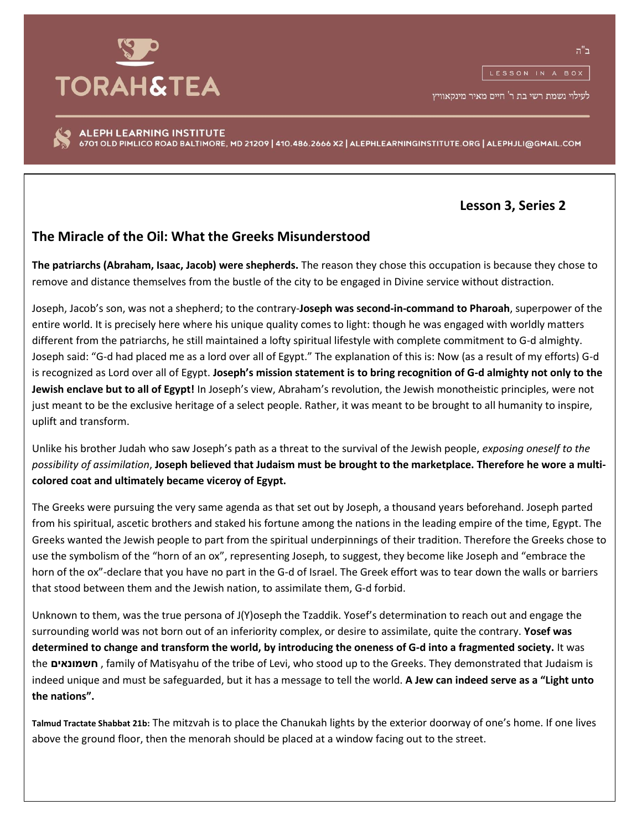

לעילוי נשמת רשי בת ר' חיים מאיר מינקאוויץ

ALEPH LEARNING INSTITUTE 6701 OLD PIMLICO ROAD BALTIMORE, MD 21209 | 410.486.2666 X2 | ALEPHLEARNINGINSTITUTE.ORG | ALEPHJLI@GMAIL.COM

**Lesson 3, Series 2**

## **The Miracle of the Oil: What the Greeks Misunderstood**

**The patriarchs (Abraham, Isaac, Jacob) were shepherds.** The reason they chose this occupation is because they chose to remove and distance themselves from the bustle of the city to be engaged in Divine service without distraction.

Joseph, Jacob's son, was not a shepherd; to the contrary-**Joseph was second-in-command to Pharoah**, superpower of the entire world. It is precisely here where his unique quality comes to light: though he was engaged with worldly matters different from the patriarchs, he still maintained a lofty spiritual lifestyle with complete commitment to G-d almighty. Joseph said: "G-d had placed me as a lord over all of Egypt." The explanation of this is: Now (as a result of my efforts) G-d is recognized as Lord over all of Egypt. **Joseph's mission statement is to bring recognition of G-d almighty not only to the Jewish enclave but to all of Egypt!** In Joseph's view, Abraham's revolution, the Jewish monotheistic principles, were not just meant to be the exclusive heritage of a select people. Rather, it was meant to be brought to all humanity to inspire, uplift and transform.

Unlike his brother Judah who saw Joseph's path as a threat to the survival of the Jewish people, *exposing oneself to the possibility of assimilation*, **Joseph believed that Judaism must be brought to the marketplace. Therefore he wore a multicolored coat and ultimately became viceroy of Egypt.** 

The Greeks were pursuing the very same agenda as that set out by Joseph, a thousand years beforehand. Joseph parted from his spiritual, ascetic brothers and staked his fortune among the nations in the leading empire of the time, Egypt. The Greeks wanted the Jewish people to part from the spiritual underpinnings of their tradition. Therefore the Greeks chose to use the symbolism of the "horn of an ox", representing Joseph, to suggest, they become like Joseph and "embrace the horn of the ox"-declare that you have no part in the G-d of Israel. The Greek effort was to tear down the walls or barriers that stood between them and the Jewish nation, to assimilate them, G-d forbid.

Unknown to them, was the true persona of J(Y)oseph the Tzaddik. Yosef's determination to reach out and engage the surrounding world was not born out of an inferiority complex, or desire to assimilate, quite the contrary. **Yosef was determined to change and transform the world, by introducing the oneness of G-d into a fragmented society.** It was the **חשמונאים** , family of Matisyahu of the tribe of Levi, who stood up to the Greeks. They demonstrated that Judaism is indeed unique and must be safeguarded, but it has a message to tell the world. **A Jew can indeed serve as a "Light unto the nations".**

**Talmud Tractate Shabbat 21b:** The mitzvah is to place the Chanukah lights by the exterior doorway of one's home. If one lives above the ground floor, then the menorah should be placed at a window facing out to the street.